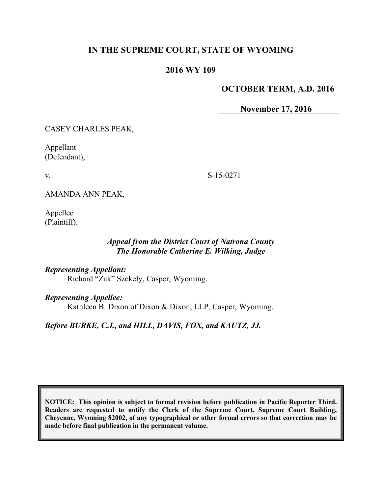## **IN THE SUPREME COURT, STATE OF WYOMING**

### **2016 WY 109**

### **OCTOBER TERM, A.D. 2016**

**November 17, 2016**

CASEY CHARLES PEAK,

Appellant (Defendant),

v.

S-15-0271

AMANDA ANN PEAK,

Appellee (Plaintiff).

### *Appeal from the District Court of Natrona County The Honorable Catherine E. Wilking, Judge*

*Representing Appellant:*

Richard "Zak" Szekely, Casper, Wyoming.

*Representing Appellee:*

Kathleen B. Dixon of Dixon & Dixon, LLP, Casper, Wyoming.

*Before BURKE, C.J., and HILL, DAVIS, FOX, and KAUTZ, JJ.*

**NOTICE: This opinion is subject to formal revision before publication in Pacific Reporter Third. Readers are requested to notify the Clerk of the Supreme Court, Supreme Court Building, Cheyenne, Wyoming 82002, of any typographical or other formal errors so that correction may be made before final publication in the permanent volume.**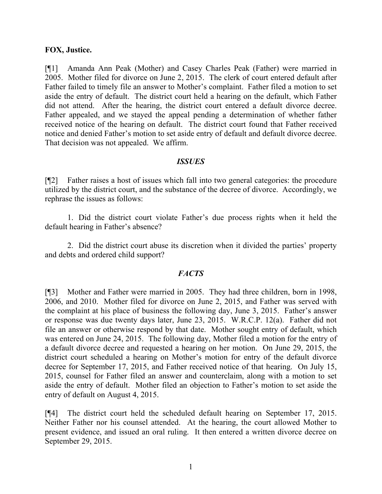#### **FOX, Justice.**

[¶1] Amanda Ann Peak (Mother) and Casey Charles Peak (Father) were married in 2005. Mother filed for divorce on June 2, 2015. The clerk of court entered default after Father failed to timely file an answer to Mother's complaint. Father filed a motion to set aside the entry of default. The district court held a hearing on the default, which Father did not attend. After the hearing, the district court entered a default divorce decree. Father appealed, and we stayed the appeal pending a determination of whether father received notice of the hearing on default. The district court found that Father received notice and denied Father's motion to set aside entry of default and default divorce decree. That decision was not appealed. We affirm.

#### *ISSUES*

[¶2] Father raises a host of issues which fall into two general categories: the procedure utilized by the district court, and the substance of the decree of divorce. Accordingly, we rephrase the issues as follows:

1. Did the district court violate Father's due process rights when it held the default hearing in Father's absence?

2. Did the district court abuse its discretion when it divided the parties' property and debts and ordered child support?

#### *FACTS*

[¶3] Mother and Father were married in 2005. They had three children, born in 1998, 2006, and 2010. Mother filed for divorce on June 2, 2015, and Father was served with the complaint at his place of business the following day, June 3, 2015. Father's answer or response was due twenty days later, June 23, 2015. W.R.C.P. 12(a). Father did not file an answer or otherwise respond by that date. Mother sought entry of default, which was entered on June 24, 2015. The following day, Mother filed a motion for the entry of a default divorce decree and requested a hearing on her motion. On June 29, 2015, the district court scheduled a hearing on Mother's motion for entry of the default divorce decree for September 17, 2015, and Father received notice of that hearing. On July 15, 2015, counsel for Father filed an answer and counterclaim, along with a motion to set aside the entry of default. Mother filed an objection to Father's motion to set aside the entry of default on August 4, 2015.

[¶4] The district court held the scheduled default hearing on September 17, 2015. Neither Father nor his counsel attended. At the hearing, the court allowed Mother to present evidence, and issued an oral ruling. It then entered a written divorce decree on September 29, 2015.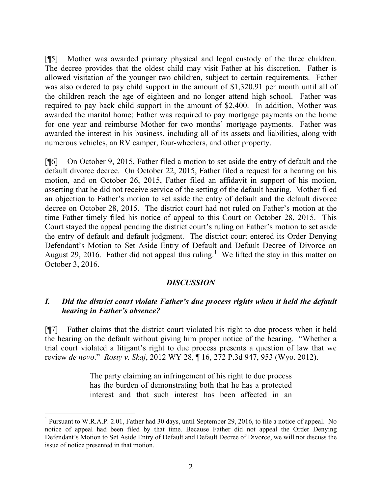[¶5] Mother was awarded primary physical and legal custody of the three children. The decree provides that the oldest child may visit Father at his discretion. Father is allowed visitation of the younger two children, subject to certain requirements. Father was also ordered to pay child support in the amount of \$1,320.91 per month until all of the children reach the age of eighteen and no longer attend high school. Father was required to pay back child support in the amount of \$2,400. In addition, Mother was awarded the marital home; Father was required to pay mortgage payments on the home for one year and reimburse Mother for two months' mortgage payments. Father was awarded the interest in his business, including all of its assets and liabilities, along with numerous vehicles, an RV camper, four-wheelers, and other property.

[¶6] On October 9, 2015, Father filed a motion to set aside the entry of default and the default divorce decree. On October 22, 2015, Father filed a request for a hearing on his motion, and on October 26, 2015, Father filed an affidavit in support of his motion, asserting that he did not receive service of the setting of the default hearing. Mother filed an objection to Father's motion to set aside the entry of default and the default divorce decree on October 28, 2015. The district court had not ruled on Father's motion at the time Father timely filed his notice of appeal to this Court on October 28, 2015. This Court stayed the appeal pending the district court's ruling on Father's motion to set aside the entry of default and default judgment. The district court entered its Order Denying Defendant's Motion to Set Aside Entry of Default and Default Decree of Divorce on August 29, 2016. Father did not appeal this ruling.<sup>1</sup> We lifted the stay in this matter on October 3, 2016.

#### *DISCUSSION*

### *I. Did the district court violate Father's due process rights when it held the default hearing in Father's absence?*

[¶7] Father claims that the district court violated his right to due process when it held the hearing on the default without giving him proper notice of the hearing. "Whether a trial court violated a litigant's right to due process presents a question of law that we review *de novo*." *Rosty v. Skaj*, 2012 WY 28, ¶ 16, 272 P.3d 947, 953 (Wyo. 2012).

> The party claiming an infringement of his right to due process has the burden of demonstrating both that he has a protected interest and that such interest has been affected in an

<sup>&</sup>lt;sup>1</sup> Pursuant to W.R.A.P. 2.01, Father had 30 days, until September 29, 2016, to file a notice of appeal. No notice of appeal had been filed by that time. Because Father did not appeal the Order Denying Defendant's Motion to Set Aside Entry of Default and Default Decree of Divorce, we will not discuss the issue of notice presented in that motion.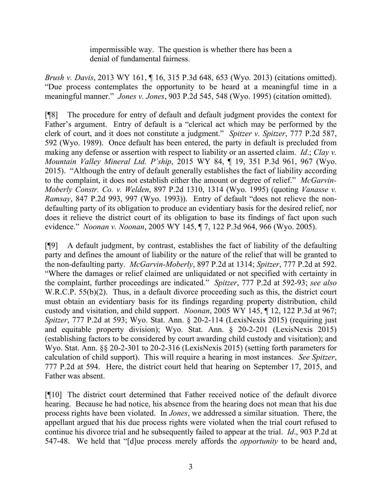impermissible way. The question is whether there has been a denial of fundamental fairness.

*Brush v. Davis*, 2013 WY 161, ¶ 16, 315 P.3d 648, 653 (Wyo. 2013) (citations omitted). "Due process contemplates the opportunity to be heard at a meaningful time in a meaningful manner." *Jones v. Jones*, 903 P.2d 545, 548 (Wyo. 1995) (citation omitted).

[¶8] The procedure for entry of default and default judgment provides the context for Father's argument. Entry of default is a "clerical act which may be performed by the clerk of court, and it does not constitute a judgment." *Spitzer v. Spitzer*, 777 P.2d 587, 592 (Wyo. 1989). Once default has been entered, the party in default is precluded from making any defense or assertion with respect to liability or an asserted claim. *Id*.; *Clay v. Mountain Valley Mineral Ltd. P'ship*, 2015 WY 84, ¶ 19, 351 P.3d 961, 967 (Wyo. 2015). "Although the entry of default generally establishes the fact of liability according to the complaint, it does not establish either the amount or degree of relief." *McGarvin-Moberly Constr. Co. v. Welden*, 897 P.2d 1310, 1314 (Wyo. 1995) (quoting *Vanasse v. Ramsay*, 847 P.2d 993, 997 (Wyo. 1993)). Entry of default "does not relieve the nondefaulting party of its obligation to produce an evidentiary basis for the desired relief, nor does it relieve the district court of its obligation to base its findings of fact upon such evidence." *Noonan v. Noonan*, 2005 WY 145, ¶ 7, 122 P.3d 964, 966 (Wyo. 2005).

[¶9] A default judgment, by contrast, establishes the fact of liability of the defaulting party and defines the amount of liability or the nature of the relief that will be granted to the non-defaulting party. *McGarvin-Moberly*, 897 P.2d at 1314; *Spitzer*, 777 P.2d at 592. "Where the damages or relief claimed are unliquidated or not specified with certainty in the complaint, further proceedings are indicated." *Spitzer*, 777 P.2d at 592-93; *see also* W.R.C.P. 55(b)(2). Thus, in a default divorce proceeding such as this, the district court must obtain an evidentiary basis for its findings regarding property distribution, child custody and visitation, and child support. *Noonan*, 2005 WY 145, ¶ 12, 122 P.3d at 967; *Spitzer*, 777 P.2d at 593; Wyo. Stat. Ann. § 20-2-114 (LexisNexis 2015) (requiring just and equitable property division); Wyo. Stat. Ann. § 20-2-201 (LexisNexis 2015) (establishing factors to be considered by court awarding child custody and visitation); and Wyo. Stat. Ann. §§ 20-2-301 to 20-2-316 (LexisNexis 2015) (setting forth parameters for calculation of child support). This will require a hearing in most instances. *See Spitzer*, 777 P.2d at 594. Here, the district court held that hearing on September 17, 2015, and Father was absent.

[¶10] The district court determined that Father received notice of the default divorce hearing. Because he had notice, his absence from the hearing does not mean that his due process rights have been violated. In *Jones*, we addressed a similar situation. There, the appellant argued that his due process rights were violated when the trial court refused to continue his divorce trial and he subsequently failed to appear at the trial. *Id*., 903 P.2d at 547-48. We held that "[d]ue process merely affords the *opportunity* to be heard and,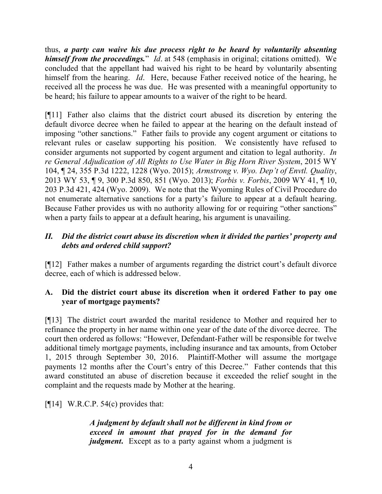thus, *a party can waive his due process right to be heard by voluntarily absenting himself from the proceedings.*" *Id*. at 548 (emphasis in original; citations omitted). We concluded that the appellant had waived his right to be heard by voluntarily absenting himself from the hearing. *Id*. Here, because Father received notice of the hearing, he received all the process he was due. He was presented with a meaningful opportunity to be heard; his failure to appear amounts to a waiver of the right to be heard.

[¶11] Father also claims that the district court abused its discretion by entering the default divorce decree when he failed to appear at the hearing on the default instead of imposing "other sanctions." Father fails to provide any cogent argument or citations to relevant rules or caselaw supporting his position. We consistently have refused to consider arguments not supported by cogent argument and citation to legal authority. *In re General Adjudication of All Rights to Use Water in Big Horn River System*, 2015 WY 104, ¶ 24, 355 P.3d 1222, 1228 (Wyo. 2015); *Armstrong v. Wyo. Dep't of Envtl. Quality*, 2013 WY 53, ¶ 9, 300 P.3d 850, 851 (Wyo. 2013); *Forbis v. Forbis*, 2009 WY 41, ¶ 10, 203 P.3d 421, 424 (Wyo. 2009). We note that the Wyoming Rules of Civil Procedure do not enumerate alternative sanctions for a party's failure to appear at a default hearing. Because Father provides us with no authority allowing for or requiring "other sanctions" when a party fails to appear at a default hearing, his argument is unavailing.

# *II. Did the district court abuse its discretion when it divided the parties' property and debts and ordered child support?*

[¶12] Father makes a number of arguments regarding the district court's default divorce decree, each of which is addressed below.

# **A. Did the district court abuse its discretion when it ordered Father to pay one year of mortgage payments?**

[¶13] The district court awarded the marital residence to Mother and required her to refinance the property in her name within one year of the date of the divorce decree. The court then ordered as follows: "However, Defendant-Father will be responsible for twelve additional timely mortgage payments, including insurance and tax amounts, from October 1, 2015 through September 30, 2016. Plaintiff-Mother will assume the mortgage payments 12 months after the Court's entry of this Decree." Father contends that this award constituted an abuse of discretion because it exceeded the relief sought in the complaint and the requests made by Mother at the hearing.

 $[14]$  W.R.C.P. 54(c) provides that:

*A judgment by default shall not be different in kind from or exceed in amount that prayed for in the demand for judgment*. Except as to a party against whom a judgment is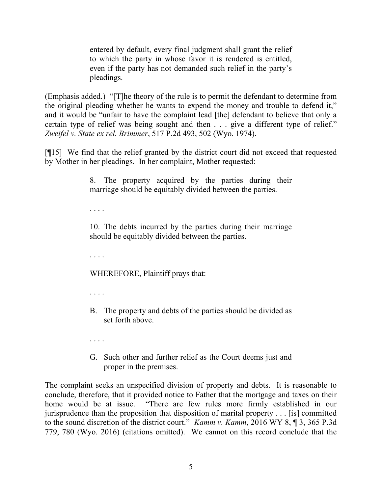entered by default, every final judgment shall grant the relief to which the party in whose favor it is rendered is entitled, even if the party has not demanded such relief in the party's pleadings.

(Emphasis added.) "[T]he theory of the rule is to permit the defendant to determine from the original pleading whether he wants to expend the money and trouble to defend it," and it would be "unfair to have the complaint lead [the] defendant to believe that only a certain type of relief was being sought and then . . . give a different type of relief." *Zweifel v. State ex rel. Brimmer*, 517 P.2d 493, 502 (Wyo. 1974).

[¶15] We find that the relief granted by the district court did not exceed that requested by Mother in her pleadings. In her complaint, Mother requested:

> 8. The property acquired by the parties during their marriage should be equitably divided between the parties.

. . . .

10. The debts incurred by the parties during their marriage should be equitably divided between the parties.

. . . .

WHEREFORE, Plaintiff prays that:

. . . .

B. The property and debts of the parties should be divided as set forth above.

. . . .

G. Such other and further relief as the Court deems just and proper in the premises.

The complaint seeks an unspecified division of property and debts. It is reasonable to conclude, therefore, that it provided notice to Father that the mortgage and taxes on their home would be at issue. "There are few rules more firmly established in our jurisprudence than the proposition that disposition of marital property . . . [is] committed to the sound discretion of the district court." *Kamm v. Kamm*, 2016 WY 8, ¶ 3, 365 P.3d 779, 780 (Wyo. 2016) (citations omitted). We cannot on this record conclude that the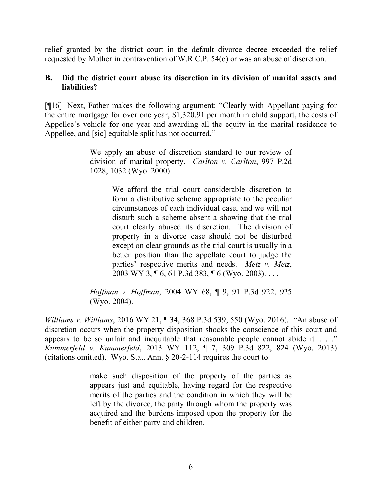relief granted by the district court in the default divorce decree exceeded the relief requested by Mother in contravention of W.R.C.P. 54(c) or was an abuse of discretion.

### **B. Did the district court abuse its discretion in its division of marital assets and liabilities?**

[¶16] Next, Father makes the following argument: "Clearly with Appellant paying for the entire mortgage for over one year, \$1,320.91 per month in child support, the costs of Appellee's vehicle for one year and awarding all the equity in the marital residence to Appellee, and [sic] equitable split has not occurred."

> We apply an abuse of discretion standard to our review of division of marital property. *Carlton v. Carlton*, 997 P.2d 1028, 1032 (Wyo. 2000).

> > We afford the trial court considerable discretion to form a distributive scheme appropriate to the peculiar circumstances of each individual case, and we will not disturb such a scheme absent a showing that the trial court clearly abused its discretion. The division of property in a divorce case should not be disturbed except on clear grounds as the trial court is usually in a better position than the appellate court to judge the parties' respective merits and needs. *Metz v. Metz*, 2003 WY 3, ¶ 6, 61 P.3d 383, ¶ 6 (Wyo. 2003). . . .

*Hoffman v. Hoffman*, 2004 WY 68, ¶ 9, 91 P.3d 922, 925 (Wyo. 2004).

*Williams v. Williams*, 2016 WY 21, ¶ 34, 368 P.3d 539, 550 (Wyo. 2016). "An abuse of discretion occurs when the property disposition shocks the conscience of this court and appears to be so unfair and inequitable that reasonable people cannot abide it. . . ." *Kummerfeld v. Kummerfeld*, 2013 WY 112, ¶ 7, 309 P.3d 822, 824 (Wyo. 2013) (citations omitted). Wyo. Stat. Ann. § 20-2-114 requires the court to

> make such disposition of the property of the parties as appears just and equitable, having regard for the respective merits of the parties and the condition in which they will be left by the divorce, the party through whom the property was acquired and the burdens imposed upon the property for the benefit of either party and children.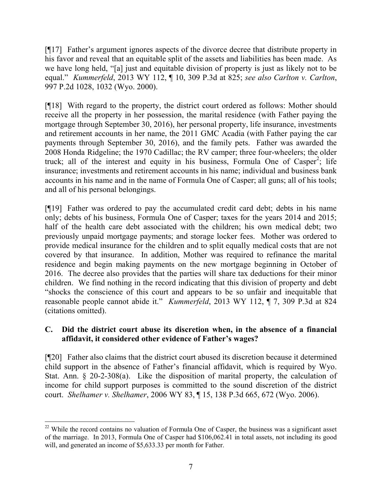[¶17] Father's argument ignores aspects of the divorce decree that distribute property in his favor and reveal that an equitable split of the assets and liabilities has been made. As we have long held, "[a] just and equitable division of property is just as likely not to be equal." *Kummerfeld*, 2013 WY 112, ¶ 10, 309 P.3d at 825; *see also Carlton v. Carlton*, 997 P.2d 1028, 1032 (Wyo. 2000).

[¶18] With regard to the property, the district court ordered as follows: Mother should receive all the property in her possession, the marital residence (with Father paying the mortgage through September 30, 2016), her personal property, life insurance, investments and retirement accounts in her name, the 2011 GMC Acadia (with Father paying the car payments through September 30, 2016), and the family pets. Father was awarded the 2008 Honda Ridgeline; the 1970 Cadillac; the RV camper; three four-wheelers; the older truck; all of the interest and equity in his business, Formula One of Casper<sup>2</sup>; life insurance; investments and retirement accounts in his name; individual and business bank accounts in his name and in the name of Formula One of Casper; all guns; all of his tools; and all of his personal belongings.

[¶19] Father was ordered to pay the accumulated credit card debt; debts in his name only; debts of his business, Formula One of Casper; taxes for the years 2014 and 2015; half of the health care debt associated with the children; his own medical debt; two previously unpaid mortgage payments; and storage locker fees. Mother was ordered to provide medical insurance for the children and to split equally medical costs that are not covered by that insurance. In addition, Mother was required to refinance the marital residence and begin making payments on the new mortgage beginning in October of 2016. The decree also provides that the parties will share tax deductions for their minor children. We find nothing in the record indicating that this division of property and debt "shocks the conscience of this court and appears to be so unfair and inequitable that reasonable people cannot abide it." *Kummerfeld*, 2013 WY 112, ¶ 7, 309 P.3d at 824 (citations omitted).

# **C. Did the district court abuse its discretion when, in the absence of a financial affidavit, it considered other evidence of Father's wages?**

[¶20] Father also claims that the district court abused its discretion because it determined child support in the absence of Father's financial affidavit, which is required by Wyo. Stat. Ann. § 20-2-308(a). Like the disposition of marital property, the calculation of income for child support purposes is committed to the sound discretion of the district court. *Shelhamer v. Shelhamer*, 2006 WY 83, ¶ 15, 138 P.3d 665, 672 (Wyo. 2006).

  $22$  While the record contains no valuation of Formula One of Casper, the business was a significant asset of the marriage. In 2013, Formula One of Casper had \$106,062.41 in total assets, not including its good will, and generated an income of \$5,633.33 per month for Father.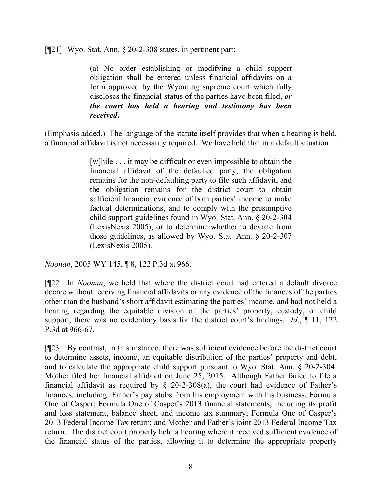[¶21] Wyo. Stat. Ann. § 20-2-308 states, in pertinent part:

(a) No order establishing or modifying a child support obligation shall be entered unless financial affidavits on a form approved by the Wyoming supreme court which fully discloses the financial status of the parties have been filed, *or the court has held a hearing and testimony has been received***.**

(Emphasis added.) The language of the statute itself provides that when a hearing is held, a financial affidavit is not necessarily required. We have held that in a default situation

> [w]hile . . . it may be difficult or even impossible to obtain the financial affidavit of the defaulted party, the obligation remains for the non-defaulting party to file such affidavit, and the obligation remains for the district court to obtain sufficient financial evidence of both parties' income to make factual determinations, and to comply with the presumptive child support guidelines found in Wyo. Stat. Ann. § 20-2-304 (LexisNexis 2005), or to determine whether to deviate from those guidelines, as allowed by Wyo. Stat. Ann. § 20-2-307 (LexisNexis 2005).

*Noonan*, 2005 WY 145, ¶ 8, 122 P.3d at 966.

[¶22] In *Noonan*, we held that where the district court had entered a default divorce decree without receiving financial affidavits or any evidence of the finances of the parties other than the husband's short affidavit estimating the parties' income, and had not held a hearing regarding the equitable division of the parties' property, custody, or child support, there was no evidentiary basis for the district court's findings. *Id*., ¶ 11, 122 P.3d at 966-67.

[¶23] By contrast, in this instance, there was sufficient evidence before the district court to determine assets, income, an equitable distribution of the parties' property and debt, and to calculate the appropriate child support pursuant to Wyo. Stat. Ann. § 20-2-304. Mother filed her financial affidavit on June 25, 2015. Although Father failed to file a financial affidavit as required by  $\S$  20-2-308(a), the court had evidence of Father's finances, including: Father's pay stubs from his employment with his business, Formula One of Casper; Formula One of Casper's 2013 financial statements, including its profit and loss statement, balance sheet, and income tax summary; Formula One of Casper's 2013 Federal Income Tax return; and Mother and Father's joint 2013 Federal Income Tax return. The district court properly held a hearing where it received sufficient evidence of the financial status of the parties, allowing it to determine the appropriate property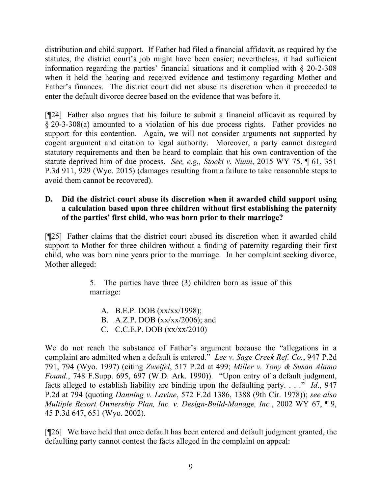distribution and child support. If Father had filed a financial affidavit, as required by the statutes, the district court's job might have been easier; nevertheless, it had sufficient information regarding the parties' financial situations and it complied with § 20-2-308 when it held the hearing and received evidence and testimony regarding Mother and Father's finances. The district court did not abuse its discretion when it proceeded to enter the default divorce decree based on the evidence that was before it.

[¶24] Father also argues that his failure to submit a financial affidavit as required by § 20-3-308(a) amounted to a violation of his due process rights. Father provides no support for this contention. Again, we will not consider arguments not supported by cogent argument and citation to legal authority. Moreover, a party cannot disregard statutory requirements and then be heard to complain that his own contravention of the statute deprived him of due process. *See, e.g., Stocki v. Nunn*, 2015 WY 75, ¶ 61, 351 P.3d 911, 929 (Wyo. 2015) (damages resulting from a failure to take reasonable steps to avoid them cannot be recovered).

## **D. Did the district court abuse its discretion when it awarded child support using a calculation based upon three children without first establishing the paternity of the parties' first child, who was born prior to their marriage?**

[¶25] Father claims that the district court abused its discretion when it awarded child support to Mother for three children without a finding of paternity regarding their first child, who was born nine years prior to the marriage. In her complaint seeking divorce, Mother alleged:

> 5. The parties have three (3) children born as issue of this marriage:

A. B.E.P. DOB (xx/xx/1998); B. A.Z.P. DOB (xx/xx/2006); and C. C.C.E.P. DOB (xx/xx/2010)

We do not reach the substance of Father's argument because the "allegations in a complaint are admitted when a default is entered." *Lee v. Sage Creek Ref. Co.*, 947 P.2d 791, 794 (Wyo. 1997) (citing *Zweifel*, 517 P.2d at 499; *Miller v. Tony & Susan Alamo Found.*, 748 F.Supp. 695, 697 (W.D. Ark. 1990)). "Upon entry of a default judgment, facts alleged to establish liability are binding upon the defaulting party. . . ." *Id*., 947 P.2d at 794 (quoting *Danning v. Lavine*, 572 F.2d 1386, 1388 (9th Cir. 1978)); *see also Multiple Resort Ownership Plan, Inc. v. Design-Build-Manage, Inc.*, 2002 WY 67, ¶ 9, 45 P.3d 647, 651 (Wyo. 2002).

[¶26] We have held that once default has been entered and default judgment granted, the defaulting party cannot contest the facts alleged in the complaint on appeal: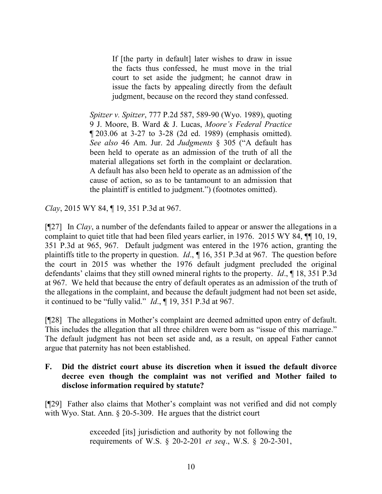If [the party in default] later wishes to draw in issue the facts thus confessed, he must move in the trial court to set aside the judgment; he cannot draw in issue the facts by appealing directly from the default judgment, because on the record they stand confessed.

*Spitzer v. Spitzer*, 777 P.2d 587, 589-90 (Wyo. 1989), quoting 9 J. Moore, B. Ward & J. Lucas, *Moore's Federal Practice* ¶ 203.06 at 3-27 to 3-28 (2d ed. 1989) (emphasis omitted). *See also* 46 Am. Jur. 2d *Judgments* § 305 ("A default has been held to operate as an admission of the truth of all the material allegations set forth in the complaint or declaration. A default has also been held to operate as an admission of the cause of action, so as to be tantamount to an admission that the plaintiff is entitled to judgment.") (footnotes omitted).

*Clay*, 2015 WY 84, ¶ 19, 351 P.3d at 967.

[¶27] In *Clay*, a number of the defendants failed to appear or answer the allegations in a complaint to quiet title that had been filed years earlier, in 1976. 2015 WY 84, ¶¶ 10, 19, 351 P.3d at 965, 967. Default judgment was entered in the 1976 action, granting the plaintiffs title to the property in question. *Id*., ¶ 16, 351 P.3d at 967. The question before the court in 2015 was whether the 1976 default judgment precluded the original defendants' claims that they still owned mineral rights to the property. *Id*., ¶ 18, 351 P.3d at 967. We held that because the entry of default operates as an admission of the truth of the allegations in the complaint, and because the default judgment had not been set aside, it continued to be "fully valid." *Id*., ¶ 19, 351 P.3d at 967.

[¶28] The allegations in Mother's complaint are deemed admitted upon entry of default. This includes the allegation that all three children were born as "issue of this marriage." The default judgment has not been set aside and, as a result, on appeal Father cannot argue that paternity has not been established.

### **F. Did the district court abuse its discretion when it issued the default divorce decree even though the complaint was not verified and Mother failed to disclose information required by statute?**

[¶29] Father also claims that Mother's complaint was not verified and did not comply with Wyo. Stat. Ann. § 20-5-309. He argues that the district court

> exceeded [its] jurisdiction and authority by not following the requirements of W.S. § 20-2-201 *et seq*., W.S. § 20-2-301,